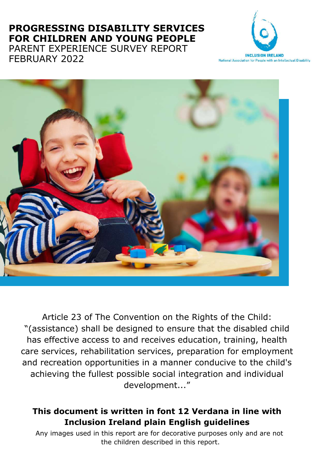### **PROGRESSING DISABILITY SERVICES FOR CHILDREN AND YOUNG PEOPLE** PARENT EXPERIENCE SURVEY REPORT FEBRUARY 2022





Article 23 of The Convention on the Rights of the Child: "(assistance) shall be designed to ensure that the disabled child has effective access to and receives education, training, health care services, rehabilitation services, preparation for employment and recreation opportunities in a manner conducive to the child's achieving the fullest possible social integration and individual development..."

### **This document is written in font 12 Verdana in line with Inclusion Ireland plain English guidelines**

Any images used in this report are for decorative purposes only and are not the children described in this report.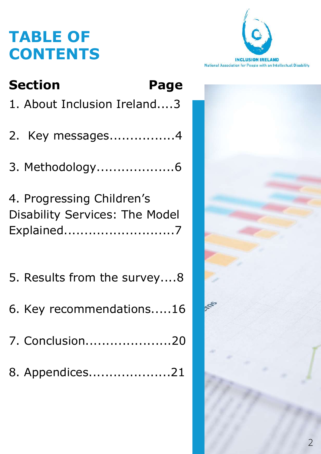# **TABLE OF CONTENTS**



| <b>Section</b>                                                                   | Page |
|----------------------------------------------------------------------------------|------|
| 1. About Inclusion Ireland3                                                      |      |
| 2. Key messages4                                                                 |      |
| 3. Methodology6                                                                  |      |
| 4. Progressing Children's<br><b>Disability Services: The Model</b><br>Explained7 |      |
| 5. Results from the survey8                                                      |      |
| 6. Key recommendations16                                                         |      |
| 7. Conclusion20                                                                  |      |
| 8. Appendices21                                                                  |      |

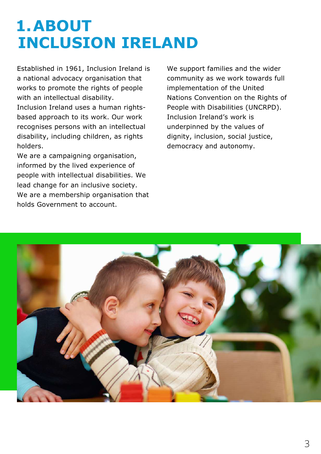# **1.ABOUT INCLUSION IRELAND**

Established in 1961, Inclusion Ireland is a national advocacy organisation that works to promote the rights of people with an intellectual disability.

Inclusion Ireland uses a human rightsbased approach to its work. Our work recognises persons with an intellectual disability, including children, as rights holders.

We are a campaigning organisation, informed by the lived experience of people with intellectual disabilities. We lead change for an inclusive society. We are a membership organisation that holds Government to account.

We support families and the wider community as we work towards full implementation of the United Nations Convention on the Rights of People with Disabilities (UNCRPD). Inclusion Ireland's work is underpinned by the values of dignity, inclusion, social justice, democracy and autonomy.

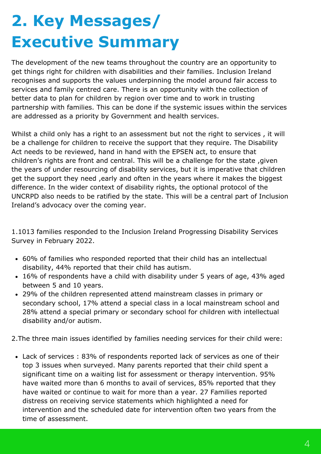# **2. Key Messages/ Executive Summary**

The development of the new teams throughout the country are an opportunity to get things right for children with disabilities and their families. Inclusion Ireland recognises and supports the values underpinning the model around fair access to services and family centred care. There is an opportunity with the collection of better data to plan for children by region over time and to work in trusting partnership with families. This can be done if the systemic issues within the services are addressed as a priority by Government and health services.

Whilst a child only has a right to an assessment but not the right to services, it will be a challenge for children to receive the support that they require. The Disability Act needs to be reviewed, hand in hand with the EPSEN act, to ensure that children's rights are front and central. This will be a challenge for the state ,given the years of under resourcing of disability services, but it is imperative that children get the support they need ,early and often in the years where it makes the biggest difference. In the wider context of disability rights, the optional protocol of the UNCRPD also needs to be ratified by the state. This will be a central part of Inclusion Ireland's advocacy over the coming year.

1.1013 families responded to the Inclusion Ireland Progressing Disability Services Survey in February 2022.

- 60% of families who responded reported that their child has an intellectual disability, 44% reported that their child has autism.
- 16% of respondents have a child with disability under 5 years of age, 43% aged between 5 and 10 years.
- 29% of the children represented attend mainstream classes in primary or secondary school, 17% attend a special class in a local mainstream school and 28% attend a special primary or secondary school for children with intellectual disability and/or autism.

2.The three main issues identified by families needing services for their child were:

Lack of services : 83% of respondents reported lack of services as one of their top 3 issues when surveyed. Many parents reported that their child spent a significant time on a waiting list for assessment or therapy intervention. 95% have waited more than 6 months to avail of services, 85% reported that they have waited or continue to wait for more than a year. 27 Families reported distress on receiving service statements which highlighted a need for intervention and the scheduled date for intervention often two years from the time of assessment.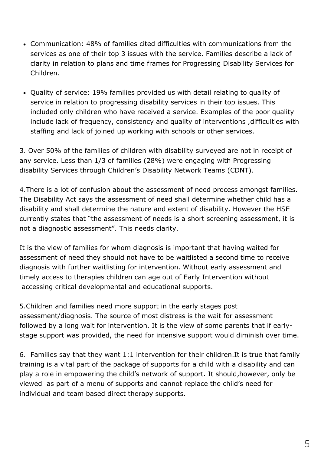- Communication: 48% of families cited difficulties with communications from the services as one of their top 3 issues with the service. Families describe a lack of clarity in relation to plans and time frames for Progressing Disability Services for Children.
- Quality of service: 19% families provided us with detail relating to quality of service in relation to progressing disability services in their top issues. This included only children who have received a service. Examples of the poor quality include lack of frequency, consistency and quality of interventions ,difficulties with staffing and lack of joined up working with schools or other services.

3. Over 50% of the families of children with disability surveyed are not in receipt of any service. Less than 1/3 of families (28%) were engaging with Progressing disability Services through Children's Disability Network Teams (CDNT).

4.There is a lot of confusion about the assessment of need process amongst families. The Disability Act says the assessment of need shall determine whether child has a disability and shall determine the nature and extent of disability. However the HSE currently states that "the assessment of needs is a short screening assessment, it is not a diagnostic assessment". This needs clarity.

It is the view of families for whom diagnosis is important that having waited for assessment of need they should not have to be waitlisted a second time to receive diagnosis with further waitlisting for intervention. Without early assessment and timely access to therapies children can age out of Early Intervention without accessing critical developmental and educational supports.

5.Children and families need more support in the early stages post assessment/diagnosis. The source of most distress is the wait for assessment followed by a long wait for intervention. It is the view of some parents that if earlystage support was provided, the need for intensive support would diminish over time.

6. Families say that they want 1:1 intervention for their children.It is true that family training is a vital part of the package of supports for a child with a disability and can play a role in empowering the child's network of support. It should,however, only be viewed as part of a menu of supports and cannot replace the child's need for individual and team based direct therapy supports.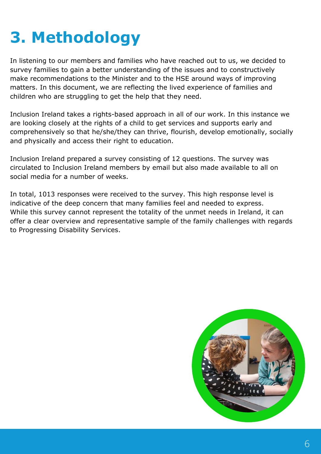# **3. Methodology**

In listening to our members and families who have reached out to us, we decided to survey families to gain a better understanding of the issues and to constructively make recommendations to the Minister and to the HSE around ways of improving matters. In this document, we are reflecting the lived experience of families and children who are struggling to get the help that they need.

Inclusion Ireland takes a rights-based approach in all of our work. In this instance we are looking closely at the rights of a child to get services and supports early and comprehensively so that he/she/they can thrive, flourish, develop emotionally, socially and physically and access their right to education.

Inclusion Ireland prepared a survey consisting of 12 questions. The survey was circulated to Inclusion Ireland members by email but also made available to all on social media for a number of weeks.

In total, 1013 responses were received to the survey. This high response level is indicative of the deep concern that many families feel and needed to express. While this survey cannot represent the totality of the unmet needs in Ireland, it can offer a clear overview and representative sample of the family challenges with regards to Progressing Disability Services.

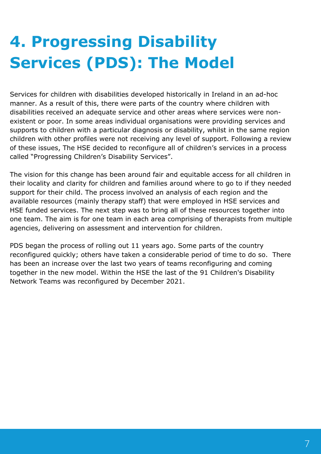# **4. Progressing Disability Services (PDS): The Model**

Services for children with disabilities developed historically in Ireland in an ad-hoc manner. As a result of this, there were parts of the country where children with disabilities received an adequate service and other areas where services were nonexistent or poor. In some areas individual organisations were providing services and supports to children with a particular diagnosis or disability, whilst in the same region children with other profiles were not receiving any level of support. Following a review of these issues, The HSE decided to reconfigure all of children's services in a process called "Progressing Children's Disability Services".

The vision for this change has been around fair and equitable access for all children in their locality and clarity for children and families around where to go to if they needed support for their child. The process involved an analysis of each region and the available resources (mainly therapy staff) that were employed in HSE services and HSE funded services. The next step was to bring all of these resources together into one team. The aim is for one team in each area comprising of therapists from multiple agencies, delivering on assessment and intervention for children.

PDS began the process of rolling out 11 years ago. Some parts of the country reconfigured quickly; others have taken a considerable period of time to do so. There has been an increase over the last two years of teams reconfiguring and coming together in the new model. Within the HSE the last of the 91 Children's Disability Network Teams was reconfigured by December 2021.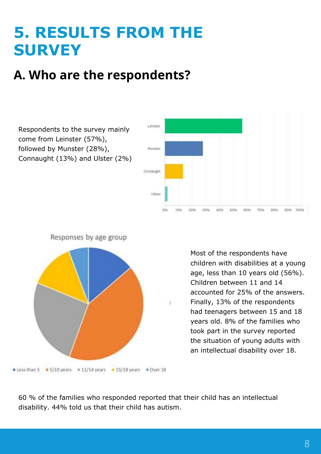# **5. RESULTS FROM THE SURVEY**

# **A. Who are the respondents?**

Respondents to the survey mainly come from Leinster (57%), followed by Munster (28%), Connaught (13%) and Ulster (2%)



nt Less than 5 = 5/10 years = 11/14 years  $= 15/18$  years **B** Over 18

Responses by age group

**4 5** an intellectual disability over 18. the situation of young adults with Most of the respondents have children with disabilities at a young age, less than 10 years old (56%). Children between 11 and 14 accounted for 25% of the answers. Finally, 13% of the respondents had teenagers between 15 and 18 years old. 8% of the families who took part in the survey reported

60 % of the families who responded reported that their child has an intellectual disability. 44% told us that their child has autism.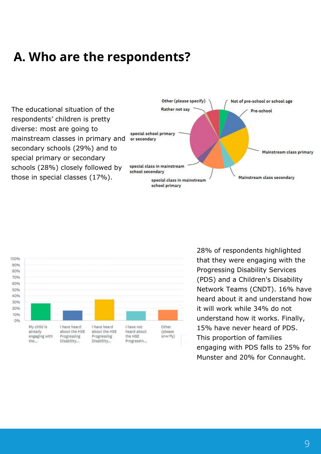## **A. Who are the respondents?**

The educational situation of the respondents' children is pretty diverse: most are going to mainstream classes in primary and secondary schools (29%) and to special primary or secondary schools (28%) closely followed by those in special classes (17%).





**4 5** engaging with PDS falls to 25% for **3** Munster and 20% for Connaught. This proportion of families 28% of respondents highlighted that they were engaging with the Progressing Disability Services (PDS) and a Children's Disability Network Teams (CNDT). 16% have heard about it and understand how it will work while 34% do not understand how it works. Finally, 15% have never heard of PDS.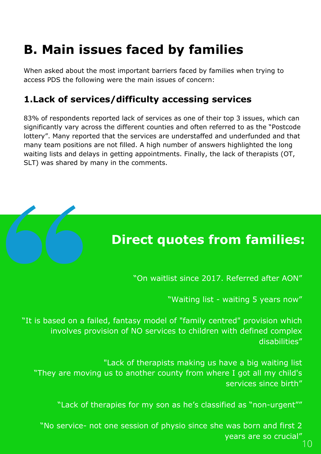# **B. Main issues faced by families**

When asked about the most important barriers faced by families when trying to access PDS the following were the main issues of concern:

### **1.Lack of services/difficulty accessing services**

83% of respondents reported lack of services as one of their top 3 issues, which can significantly vary across the different counties and often referred to as the "Postcode lottery". Many reported that the services are understaffed and underfunded and that many team positions are not filled. A high number of answers highlighted the long waiting lists and delays in getting appointments. Finally, the lack of therapists (OT, SLT) was shared by many in the comments.



## **Direct quotes from families:**

"On waitlist since 2017. Referred after AON"

"Waiting list - waiting 5 years now"

"It is based on a failed, fantasy model of "family centred" provision which involves provision of NO services to children with defined complex disabilities"

"Lack of therapists making us have a big waiting list "They are moving us to another county from where I got all my child's services since birth"

"Lack of therapies for my son as he's classified as "non-urgent""

"No service- not one session of physio since she was born and first 2 years are so crucial"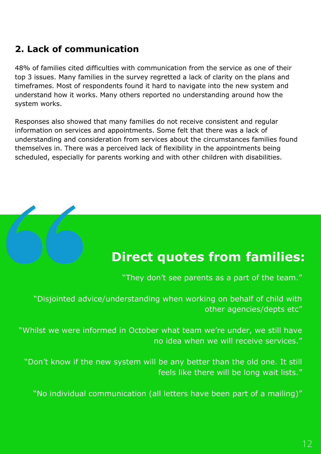## **2. Lack of communication**

48% of families cited difficulties with communication from the service as one of their top 3 issues. Many families in the survey regretted a lack of clarity on the plans and timeframes. Most of respondents found it hard to navigate into the new system and understand how it works. Many others reported no understanding around how the system works.

Responses also showed that many families do not receive consistent and regular information on services and appointments. Some felt that there was a lack of understanding and consideration from services about the circumstances families found themselves in. There was a perceived lack of flexibility in the appointments being scheduled, especially for parents working and with other children with disabilities.

## **Direct quotes from families:**

"They don't see parents as a part of the team."

"Disjointed advice/understanding when working on behalf of child with other agencies/depts etc"

"Whilst we were informed in October what team we're under, we still have no idea when we will receive services."

"Don't know if the new system will be any better than the old one. It still feels like there will be long wait lists."

"No individual communication (all letters have been part of a mailing)"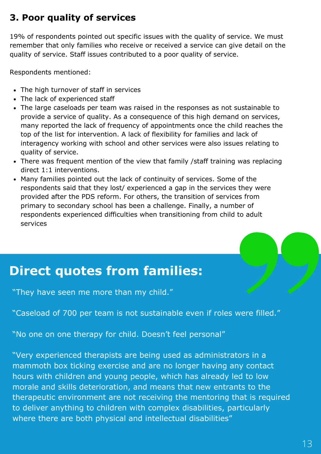### **3. Poor quality of services**

19% of respondents pointed out specific issues with the quality of service. We must remember that only families who receive or received a service can give detail on the quality of service. Staff issues contributed to a poor quality of service.

Respondents mentioned:

- The high turnover of staff in services
- The lack of experienced staff
- The large caseloads per team was raised in the responses as not sustainable to provide a service of quality. As a consequence of this high demand on services, many reported the lack of frequency of appointments once the child reaches the top of the list for intervention. A lack of flexibility for families and lack of interagency working with school and other services were also issues relating to quality of service.
- There was frequent mention of the view that family /staff training was replacing direct 1:1 interventions.
- Many families pointed out the lack of continuity of services. Some of the respondents said that they lost/ experienced a gap in the services they were provided after the PDS reform. For others, the transition of services from primary to secondary school has been a challenge. Finally, a number of respondents experienced difficulties when transitioning from child to adult services

## **Direct quotes from families:**

"They have seen me more than my child."

"Caseload of 700 per team is not sustainable even if roles were filled."

"No one on one therapy for child. Doesn't feel personal"

"Very experienced therapists are being used as administrators in a mammoth box ticking exercise and are no longer having any contact hours with children and young people, which has already led to low morale and skills deterioration, and means that new entrants to the therapeutic environment are not receiving the mentoring that is required to deliver anything to children with complex disabilities, particularly where there are both physical and intellectual disabilities"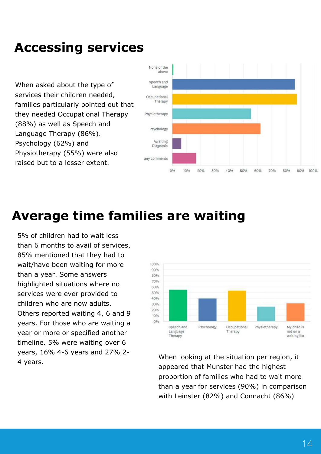## **Accessing services**

When asked about the type of services their children needed, families particularly pointed out that they needed Occupational Therapy (88%) as well as Speech and Language Therapy (86%). Psychology (62%) and Physiotherapy (55%) were also raised but to a lesser extent.



## **Average time families are waiting**

5% of children had to wait less than 6 months to avail of services, 85% mentioned that they had to wait/have been waiting for more than a year. Some answers highlighted situations where no services were ever provided to children who are now adults. Others reported waiting 4, 6 and 9 years. For those who are waiting a year or more or specified another timeline. 5% were waiting over 6 years, 16% 4-6 years and 27% 2-



the situation per reg than a year for services (90%) in comparison with Leinster (82%) and Connacht (86%)  $\frac{1}{4}$  years, the situation per region, it when looking at the situation per region, it appeared that Munster had the highest proportion of families who had to wait more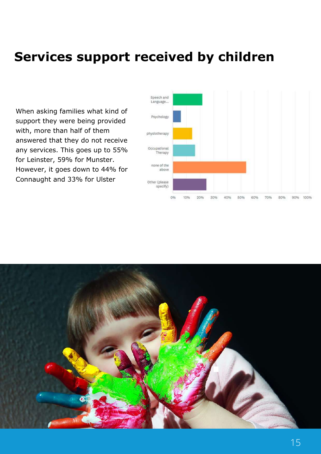## **Services support received by children**

When asking families what kind of support they were being provided with, more than half of them answered that they do not receive any services. This goes up to 55% for Leinster, 59% for Munster. However, it goes down to 44% for Connaught and 33% for Ulster



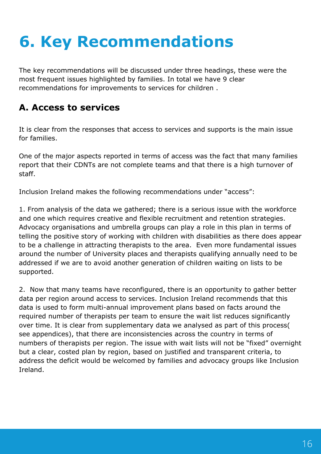# **6. Key Recommendations**

The key recommendations will be discussed under three headings, these were the most frequent issues highlighted by families. In total we have 9 clear recommendations for improvements to services for children .

### **A. Access to services**

It is clear from the responses that access to services and supports is the main issue for families.

One of the major aspects reported in terms of access was the fact that many families report that their CDNTs are not complete teams and that there is a high turnover of staff.

Inclusion Ireland makes the following recommendations under "access":

1. From analysis of the data we gathered; there is a serious issue with the workforce and one which requires creative and flexible recruitment and retention strategies. Advocacy organisations and umbrella groups can play a role in this plan in terms of telling the positive story of working with children with disabilities as there does appear to be a challenge in attracting therapists to the area. Even more fundamental issues around the number of University places and therapists qualifying annually need to be addressed if we are to avoid another generation of children waiting on lists to be supported.

2. Now that many teams have reconfigured, there is an opportunity to gather better data per region around access to services. Inclusion Ireland recommends that this data is used to form multi-annual improvement plans based on facts around the required number of therapists per team to ensure the wait list reduces significantly over time. It is clear from supplementary data we analysed as part of this process( see appendices), that there are inconsistencies across the country in terms of numbers of therapists per region. The issue with wait lists will not be "fixed" overnight but a clear, costed plan by region, based on justified and transparent criteria, to address the deficit would be welcomed by families and advocacy groups like Inclusion Ireland.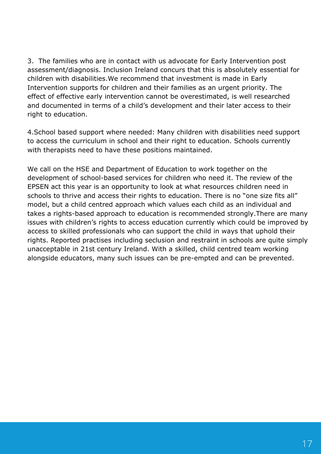3. The families who are in contact with us advocate for Early Intervention post assessment/diagnosis. Inclusion Ireland concurs that this is absolutely essential for children with disabilities.We recommend that investment is made in Early Intervention supports for children and their families as an urgent priority. The effect of effective early intervention cannot be overestimated, is well researched and documented in terms of a child's development and their later access to their right to education.

4.School based support where needed: Many children with disabilities need support to access the curriculum in school and their right to education. Schools currently with therapists need to have these positions maintained.

We call on the HSE and Department of Education to work together on the development of school-based services for children who need it. The review of the EPSEN act this year is an opportunity to look at what resources children need in schools to thrive and access their rights to education. There is no "one size fits all" model, but a child centred approach which values each child as an individual and takes a rights-based approach to education is recommended strongly.There are many issues with children's rights to access education currently which could be improved by access to skilled professionals who can support the child in ways that uphold their rights. Reported practises including seclusion and restraint in schools are quite simply unacceptable in 21st century Ireland. With a skilled, child centred team working alongside educators, many such issues can be pre-empted and can be prevented.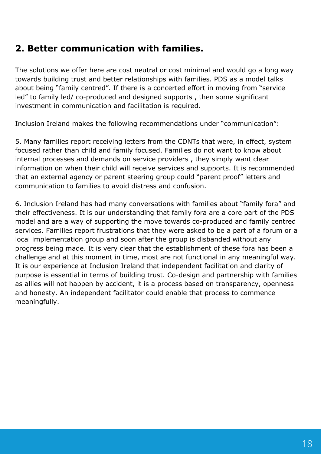### **2. Better communication with families.**

The solutions we offer here are cost neutral or cost minimal and would go a long way towards building trust and better relationships with families. PDS as a model talks about being "family centred". If there is a concerted effort in moving from "service led" to family led/ co-produced and designed supports , then some significant investment in communication and facilitation is required.

Inclusion Ireland makes the following recommendations under "communication":

5. Many families report receiving letters from the CDNTs that were, in effect, system focused rather than child and family focused. Families do not want to know about internal processes and demands on service providers , they simply want clear information on when their child will receive services and supports. It is recommended that an external agency or parent steering group could "parent proof" letters and communication to families to avoid distress and confusion.

6. Inclusion Ireland has had many conversations with families about "family fora" and their effectiveness. It is our understanding that family fora are a core part of the PDS model and are a way of supporting the move towards co-produced and family centred services. Families report frustrations that they were asked to be a part of a forum or a local implementation group and soon after the group is disbanded without any progress being made. It is very clear that the establishment of these fora has been a challenge and at this moment in time, most are not functional in any meaningful way. It is our experience at Inclusion Ireland that independent facilitation and clarity of purpose is essential in terms of building trust. Co-design and partnership with families as allies will not happen by accident, it is a process based on transparency, openness and honesty. An independent facilitator could enable that process to commence meaningfully.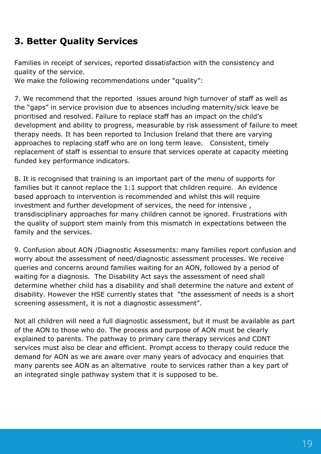### **3. Better Quality Services**

Families in receipt of services, reported dissatisfaction with the consistency and quality of the service.

We make the following recommendations under "quality":

7. We recommend that the reported issues around high turnover of staff as well as the "gaps" in service provision due to absences including maternity/sick leave be prioritised and resolved. Failure to replace staff has an impact on the child's development and ability to progress, measurable by risk assessment of failure to meet therapy needs. It has been reported to Inclusion Ireland that there are varying approaches to replacing staff who are on long term leave. Consistent, timely replacement of staff is essential to ensure that services operate at capacity meeting funded key performance indicators.

8. It is recognised that training is an important part of the menu of supports for families but it cannot replace the 1:1 support that children require. An evidence based approach to intervention is recommended and whilst this will require investment and further development of services, the need for intensive , transdisciplinary approaches for many children cannot be ignored. Frustrations with the quality of support stem mainly from this mismatch in expectations between the family and the services.

9. Confusion about AON /Diagnostic Assessments: many families report confusion and worry about the assessment of need/diagnostic assessment processes. We receive queries and concerns around families waiting for an AON, followed by a period of waiting for a diagnosis. The Disability Act says the assessment of need shall determine whether child has a disability and shall determine the nature and extent of disability. However the HSE currently states that "the assessment of needs is a short screening assessment, it is not a diagnostic assessment".

Not all children will need a full diagnostic assessment, but it must be available as part of the AON to those who do. The process and purpose of AON must be clearly explained to parents. The pathway to primary care therapy services and CDNT services must also be clear and efficient. Prompt access to therapy could reduce the demand for AON as we are aware over many years of advocacy and enquiries that many parents see AON as an alternative route to services rather than a key part of an integrated single pathway system that it is supposed to be.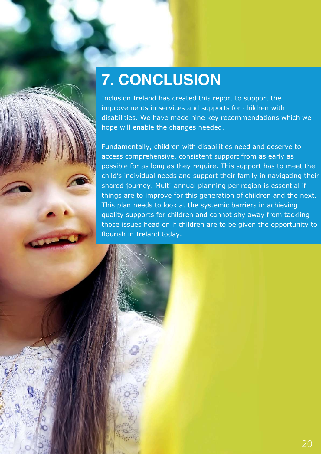# **7. CONCLUSION**

Inclusion Ireland has created this report to support the improvements in services and supports for children with disabilities. We have made nine key recommendations which we hope will enable the changes needed.

Fundamentally, children with disabilities need and deserve to access comprehensive, consistent support from as early as possible for as long as they require. This support has to meet the child's individual needs and support their family in navigating their shared journey. Multi-annual planning per region is essential if things are to improve for this generation of children and the next. This plan needs to look at the systemic barriers in achieving quality supports for children and cannot shy away from tackling those issues head on if children are to be given the opportunity to flourish in Ireland today.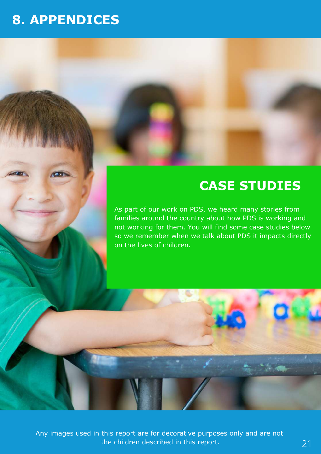## **8. APPENDICES**

## **CASE STUDIES**

As part of our work on PDS, we heard many stories from families around the country about how PDS is working and not working for them. You will find some case studies below so we remember when we talk about PDS it impacts directly on the lives of children.

Any images used in this report are for decorative purposes only and are not the children described in this report.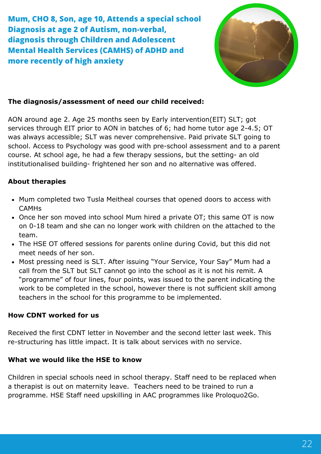**Mum, CHO 8, Son, age 10, Attends a special school Diagnosis at age 2 of Autism, non-verbal, diagnosis through Children and Adolescent Mental Health Services (CAMHS) of ADHD and more recently of high anxiety**



#### **The diagnosis/assessment of need our child received:**

AON around age 2. Age 25 months seen by Early intervention(EIT) SLT; got services through EIT prior to AON in batches of 6; had home tutor age 2-4.5; OT was always accessible; SLT was never comprehensive. Paid private SLT going to school. Access to Psychology was good with pre-school assessment and to a parent course. At school age, he had a few therapy sessions, but the setting- an old institutionalised building- frightened her son and no alternative was offered.

#### **About therapies**

- Mum completed two Tusla Meitheal courses that opened doors to access with CAMHs
- Once her son moved into school Mum hired a private OT; this same OT is now on 0-18 team and she can no longer work with children on the attached to the team.
- The HSE OT offered sessions for parents online during Covid, but this did not meet needs of her son.
- Most pressing need is SLT. After issuing "Your Service, Your Say" Mum had a call from the SLT but SLT cannot go into the school as it is not his remit. A "programme" of four lines, four points, was issued to the parent indicating the work to be completed in the school, however there is not sufficient skill among teachers in the school for this programme to be implemented.

#### **How CDNT worked for us**

Received the first CDNT letter in November and the second letter last week. This re-structuring has little impact. It is talk about services with no service.

#### **What we would like the HSE to know**

Children in special schools need in school therapy. Staff need to be replaced when a therapist is out on maternity leave. Teachers need to be trained to run a programme. HSE Staff need upskilling in AAC programmes like Proloquo2Go.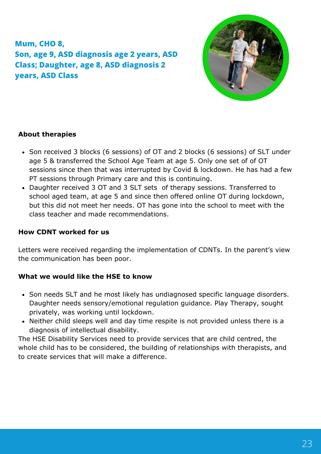### **Mum, CHO 8, Son, age 9, ASD diagnosis age 2 years, ASD Class; Daughter, age 8, ASD diagnosis 2 years, ASD Class**



#### **About therapies**

- Son received 3 blocks (6 sessions) of OT and 2 blocks (6 sessions) of SLT under age 5 & transferred the School Age Team at age 5. Only one set of of OT sessions since then that was interrupted by Covid & lockdown. He has had a few PT sessions through Primary care and this is continuing.
- Daughter received 3 OT and 3 SLT sets of therapy sessions. Transferred to school aged team, at age 5 and since then offered online OT during lockdown, but this did not meet her needs. OT has gone into the school to meet with the class teacher and made recommendations.

#### **How CDNT worked for us**

Letters were received regarding the implementation of CDNTs. In the parent's view the communication has been poor.

#### **What we would like the HSE to know**

- Son needs SLT and he most likely has undiagnosed specific language disorders. Daughter needs sensory/emotional regulation guidance. Play Therapy, sought privately, was working until lockdown.
- Neither child sleeps well and day time respite is not provided unless there is a diagnosis of intellectual disability.

The HSE Disability Services need to provide services that are child centred, the whole child has to be considered, the building of relationships with therapists, and to create services that will make a difference.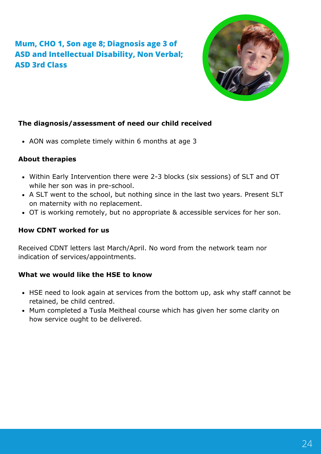### **Mum, CHO 1, Son age 8; Diagnosis age 3 of ASD and Intellectual Disability, Non Verbal; ASD 3rd Class**



#### **The diagnosis/assessment of need our child received**

• AON was complete timely within 6 months at age 3

#### **About therapies**

- Within Early Intervention there were 2-3 blocks (six sessions) of SLT and OT while her son was in pre-school.
- A SLT went to the school, but nothing since in the last two years. Present SLT on maternity with no replacement.
- OT is working remotely, but no appropriate & accessible services for her son.

#### **How CDNT worked for us**

Received CDNT letters last March/April. No word from the network team nor indication of services/appointments.

#### **What we would like the HSE to know**

- HSE need to look again at services from the bottom up, ask why staff cannot be retained, be child centred.
- Mum completed a Tusla Meitheal course which has given her some clarity on how service ought to be delivered.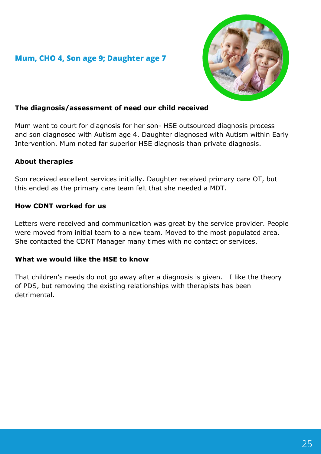#### **Mum, CHO 4, Son age 9; Daughter age 7**



#### **The diagnosis/assessment of need our child received**

Mum went to court for diagnosis for her son- HSE outsourced diagnosis process and son diagnosed with Autism age 4. Daughter diagnosed with Autism within Early Intervention. Mum noted far superior HSE diagnosis than private diagnosis.

#### **About therapies**

Son received excellent services initially. Daughter received primary care OT, but this ended as the primary care team felt that she needed a MDT.

#### **How CDNT worked for us**

Letters were received and communication was great by the service provider. People were moved from initial team to a new team. Moved to the most populated area. She contacted the CDNT Manager many times with no contact or services.

#### **What we would like the HSE to know**

That children's needs do not go away after a diagnosis is given. I like the theory of PDS, but removing the existing relationships with therapists has been detrimental.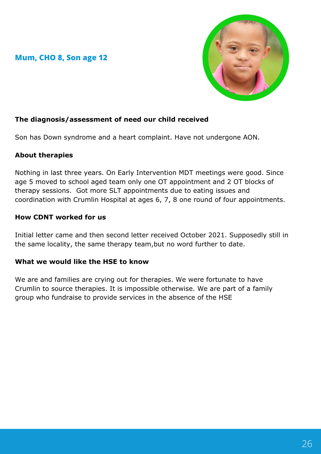#### **Mum, CHO 8, Son age 12**



#### **The diagnosis/assessment of need our child received**

Son has Down syndrome and a heart complaint. Have not undergone AON.

#### **About therapies**

Nothing in last three years. On Early Intervention MDT meetings were good. Since age 5 moved to school aged team only one OT appointment and 2 OT blocks of therapy sessions. Got more SLT appointments due to eating issues and coordination with Crumlin Hospital at ages 6, 7, 8 one round of four appointments.

#### **How CDNT worked for us**

Initial letter came and then second letter received October 2021. Supposedly still in the same locality, the same therapy team,but no word further to date.

#### **What we would like the HSE to know**

We are and families are crying out for therapies. We were fortunate to have Crumlin to source therapies. It is impossible otherwise. We are part of a family group who fundraise to provide services in the absence of the HSE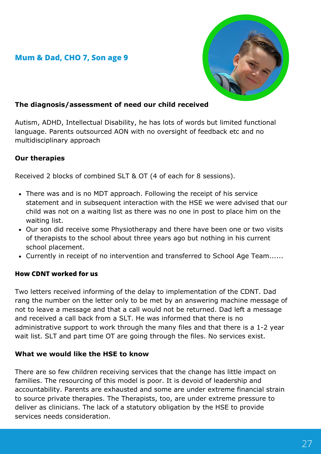#### **Mum & Dad, CHO 7, Son age 9**



#### **The diagnosis/assessment of need our child received**

Autism, ADHD, Intellectual Disability, he has lots of words but limited functional language. Parents outsourced AON with no oversight of feedback etc and no multidisciplinary approach

#### **Our therapies**

Received 2 blocks of combined SLT & OT (4 of each for 8 sessions).

- There was and is no MDT approach. Following the receipt of his service statement and in subsequent interaction with the HSE we were advised that our child was not on a waiting list as there was no one in post to place him on the waiting list.
- Our son did receive some Physiotherapy and there have been one or two visits of therapists to the school about three years ago but nothing in his current school placement.
- Currently in receipt of no intervention and transferred to School Age Team......

#### **How CDNT worked for us**

Two letters received informing of the delay to implementation of the CDNT. Dad rang the number on the letter only to be met by an answering machine message of not to leave a message and that a call would not be returned. Dad left a message and received a call back from a SLT. He was informed that there is no administrative support to work through the many files and that there is a 1-2 year wait list. SLT and part time OT are going through the files. No services exist.

#### **What we would like the HSE to know**

There are so few children receiving services that the change has little impact on families. The resourcing of this model is poor. It is devoid of leadership and accountability. Parents are exhausted and some are under extreme financial strain to source private therapies. The Therapists, too, are under extreme pressure to deliver as clinicians. The lack of a statutory obligation by the HSE to provide services needs consideration.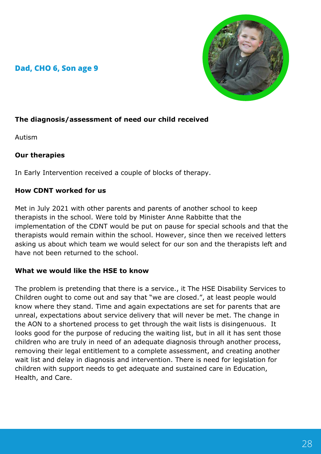#### **Dad, CHO 6, Son age 9**



#### **The diagnosis/assessment of need our child received**

Autism

#### **Our therapies**

In Early Intervention received a couple of blocks of therapy.

#### **How CDNT worked for us**

Met in July 2021 with other parents and parents of another school to keep therapists in the school. Were told by Minister Anne Rabbitte that the implementation of the CDNT would be put on pause for special schools and that the therapists would remain within the school. However, since then we received letters asking us about which team we would select for our son and the therapists left and have not been returned to the school.

#### **What we would like the HSE to know**

The problem is pretending that there is a service., it The HSE Disability Services to Children ought to come out and say that "we are closed.", at least people would know where they stand. Time and again expectations are set for parents that are unreal, expectations about service delivery that will never be met. The change in the AON to a shortened process to get through the wait lists is disingenuous. It looks good for the purpose of reducing the waiting list, but in all it has sent those children who are truly in need of an adequate diagnosis through another process, removing their legal entitlement to a complete assessment, and creating another wait list and delay in diagnosis and intervention. There is need for legislation for children with support needs to get adequate and sustained care in Education, Health, and Care.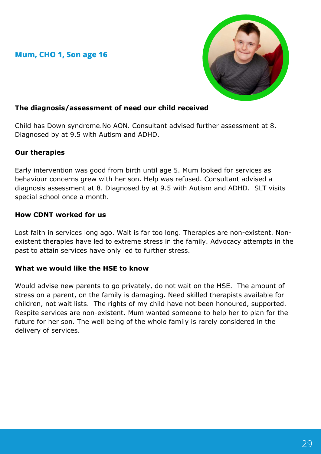#### **Mum, CHO 1, Son age 16**



#### **The diagnosis/assessment of need our child received**

Child has Down syndrome.No AON. Consultant advised further assessment at 8. Diagnosed by at 9.5 with Autism and ADHD.

#### **Our therapies**

Early intervention was good from birth until age 5. Mum looked for services as behaviour concerns grew with her son. Help was refused. Consultant advised a diagnosis assessment at 8. Diagnosed by at 9.5 with Autism and ADHD. SLT visits special school once a month.

#### **How CDNT worked for us**

Lost faith in services long ago. Wait is far too long. Therapies are non-existent. Nonexistent therapies have led to extreme stress in the family. Advocacy attempts in the past to attain services have only led to further stress.

#### **What we would like the HSE to know**

Would advise new parents to go privately, do not wait on the HSE. The amount of stress on a parent, on the family is damaging. Need skilled therapists available for children, not wait lists. The rights of my child have not been honoured, supported. Respite services are non-existent. Mum wanted someone to help her to plan for the future for her son. The well being of the whole family is rarely considered in the delivery of services.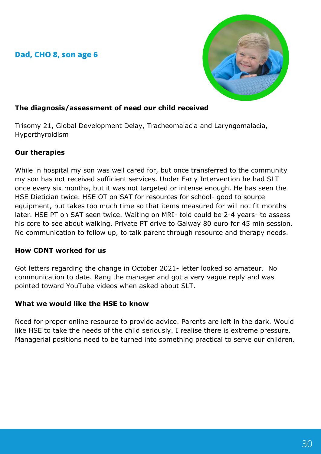#### **Dad, CHO 8, son age 6**



#### **The diagnosis/assessment of need our child received**

Trisomy 21, Global Development Delay, Tracheomalacia and Laryngomalacia, Hyperthyroidism

#### **Our therapies**

While in hospital my son was well cared for, but once transferred to the community my son has not received sufficient services. Under Early Intervention he had SLT once every six months, but it was not targeted or intense enough. He has seen the HSE Dietician twice. HSE OT on SAT for resources for school- good to source equipment, but takes too much time so that items measured for will not fit months later. HSE PT on SAT seen twice. Waiting on MRI- told could be 2-4 years- to assess his core to see about walking. Private PT drive to Galway 80 euro for 45 min session. No communication to follow up, to talk parent through resource and therapy needs.

#### **How CDNT worked for us**

Got letters regarding the change in October 2021- letter looked so amateur. No communication to date. Rang the manager and got a very vague reply and was pointed toward YouTube videos when asked about SLT.

#### **What we would like the HSE to know**

Need for proper online resource to provide advice. Parents are left in the dark. Would like HSE to take the needs of the child seriously. I realise there is extreme pressure. Managerial positions need to be turned into something practical to serve our children.